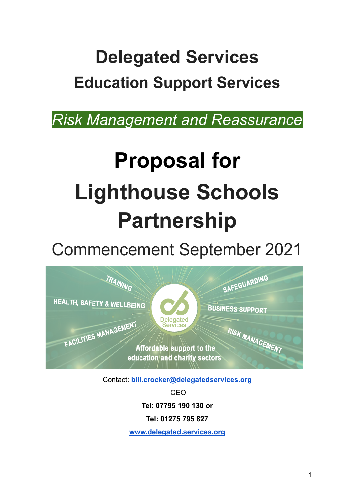# **Delegated Services Education Support Services**

*Risk Management and Reassurance*

# **Proposal for Lighthouse Schools Partnership**

Commencement September 2021



Contact: **bill.crocker@delegatedservices.org**

CEO

**Tel: 07795 190 130 or**

**Tel: 01275 795 827**

**[www.delegated.services.org](http://www.delegated.services.org/)**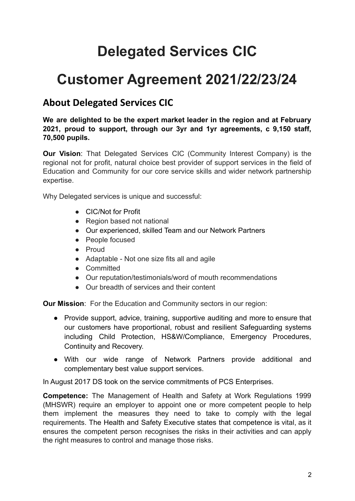# **Delegated Services CIC**

# **Customer Agreement 2021/22/23/24**

# **About Delegated Services CIC**

#### **We are delighted to be the expert market leader in the region and at February 2021, proud to support, through our 3yr and 1yr agreements, c 9,150 staff, 70,500 pupils.**

**Our Vision**: That Delegated Services CIC (Community Interest Company) is the regional not for profit, natural choice best provider of support services in the field of Education and Community for our core service skills and wider network partnership expertise.

Why Delegated services is unique and successful:

- CIC/Not for Profit
- Region based not national
- Our experienced, skilled Team and our Network Partners
- People focused
- Proud
- Adaptable Not one size fits all and agile
- Committed
- Our reputation/testimonials/word of mouth recommendations
- Our breadth of services and their content

**Our Mission:** For the Education and Community sectors in our region:

- Provide support, advice, training, supportive auditing and more to ensure that our customers have proportional, robust and resilient Safeguarding systems including Child Protection, HS&W/Compliance, Emergency Procedures, Continuity and Recovery.
- With our wide range of Network Partners provide additional and complementary best value support services.

In August 2017 DS took on the service commitments of PCS Enterprises.

**Competence:** The Management of Health and Safety at Work Regulations 1999 (MHSWR) require an employer to appoint one or more competent people to help them implement the measures they need to take to comply with the legal requirements. The Health and Safety Executive states that competence is vital, as it ensures the competent person recognises the risks in their activities and can apply the right measures to control and manage those risks.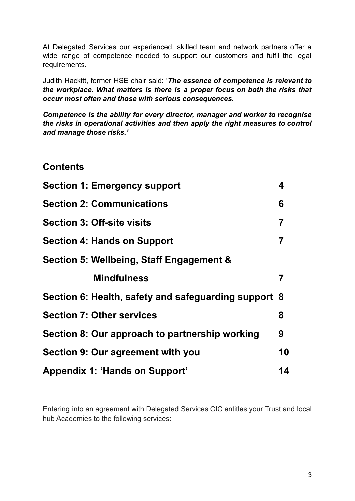At Delegated Services our experienced, skilled team and network partners offer a wide range of competence needed to support our customers and fulfil the legal requirements.

Judith Hackitt, former HSE chair said: '*The essence of competence is relevant to the workplace. What matters is there is a proper focus on both the risks that occur most often and those with serious consequences.*

*Competence is the ability for every director, manager and worker to recognise the risks in operational activities and then apply the right measures to control and manage those risks.'*

#### **Contents**

| <b>Section 1: Emergency support</b>                  | 4  |
|------------------------------------------------------|----|
| <b>Section 2: Communications</b>                     | 6  |
| <b>Section 3: Off-site visits</b>                    | 7  |
| <b>Section 4: Hands on Support</b>                   | 7  |
| Section 5: Wellbeing, Staff Engagement &             |    |
| <b>Mindfulness</b>                                   | 7  |
| Section 6: Health, safety and safeguarding support 8 |    |
| <b>Section 7: Other services</b>                     | 8  |
| Section 8: Our approach to partnership working       | 9  |
| Section 9: Our agreement with you                    | 10 |
| <b>Appendix 1: 'Hands on Support'</b>                | 14 |

Entering into an agreement with Delegated Services CIC entitles your Trust and local hub Academies to the following services: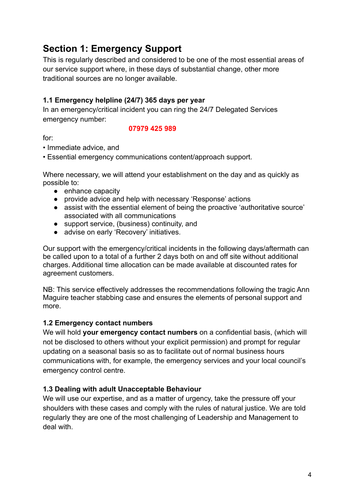# **Section 1: Emergency Support**

This is regularly described and considered to be one of the most essential areas of our service support where, in these days of substantial change, other more traditional sources are no longer available.

#### **1.1 Emergency helpline (24/7) 365 days per year**

In an emergency/critical incident you can ring the 24/7 Delegated Services emergency number:

#### **07979 425 989**

for:

• Immediate advice, and

• Essential emergency communications content/approach support.

Where necessary, we will attend your establishment on the day and as quickly as possible to:

- enhance capacity
- provide advice and help with necessary 'Response' actions
- assist with the essential element of being the proactive 'authoritative source' associated with all communications
- support service, (business) continuity, and
- advise on early 'Recovery' initiatives.

Our support with the emergency/critical incidents in the following days/aftermath can be called upon to a total of a further 2 days both on and off site without additional charges. Additional time allocation can be made available at discounted rates for agreement customers.

NB: This service effectively addresses the recommendations following the tragic Ann Maguire teacher stabbing case and ensures the elements of personal support and more.

#### **1.2 Emergency contact numbers**

We will hold **your emergency contact numbers** on a confidential basis, (which will not be disclosed to others without your explicit permission) and prompt for regular updating on a seasonal basis so as to facilitate out of normal business hours communications with, for example, the emergency services and your local council's emergency control centre.

#### **1.3 Dealing with adult Unacceptable Behaviour**

We will use our expertise, and as a matter of urgency, take the pressure off your shoulders with these cases and comply with the rules of natural justice. We are told regularly they are one of the most challenging of Leadership and Management to deal with.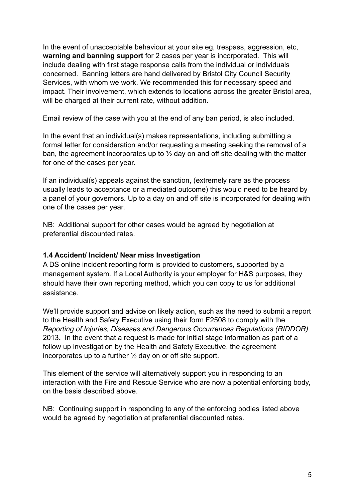In the event of unacceptable behaviour at your site eg, trespass, aggression, etc, **warning and banning support** for 2 cases per year is incorporated. This will include dealing with first stage response calls from the individual or individuals concerned. Banning letters are hand delivered by Bristol City Council Security Services, with whom we work. We recommended this for necessary speed and impact. Their involvement, which extends to locations across the greater Bristol area, will be charged at their current rate, without addition.

Email review of the case with you at the end of any ban period, is also included.

In the event that an individual(s) makes representations, including submitting a formal letter for consideration and/or requesting a meeting seeking the removal of a ban, the agreement incorporates up to  $\frac{1}{2}$  day on and off site dealing with the matter for one of the cases per year.

If an individual(s) appeals against the sanction, (extremely rare as the process usually leads to acceptance or a mediated outcome) this would need to be heard by a panel of your governors. Up to a day on and off site is incorporated for dealing with one of the cases per year.

NB: Additional support for other cases would be agreed by negotiation at preferential discounted rates.

#### **1.4 Accident/ Incident/ Near miss Investigation**

A DS online incident reporting form is provided to customers, supported by a management system. If a Local Authority is your employer for H&S purposes, they should have their own reporting method, which you can copy to us for additional assistance.

We'll provide support and advice on likely action, such as the need to submit a report to the Health and Safety Executive using their form F2508 to comply with the *Reporting of Injuries, Diseases and Dangerous Occurrences Regulations (RIDDOR)* 2013**.** In the event that a request is made for initial stage information as part of a follow up investigation by the Health and Safety Executive, the agreement incorporates up to a further ½ day on or off site support.

This element of the service will alternatively support you in responding to an interaction with the Fire and Rescue Service who are now a potential enforcing body, on the basis described above.

NB: Continuing support in responding to any of the enforcing bodies listed above would be agreed by negotiation at preferential discounted rates.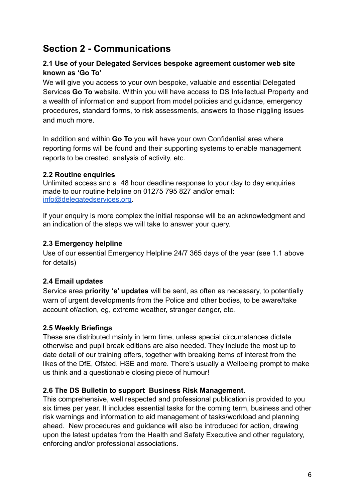### **Section 2 - Communications**

#### **2.1 Use of your Delegated Services bespoke agreement customer web site known as 'Go To'**

We will give you access to your own bespoke, valuable and essential Delegated Services **Go To** website. Within you will have access to DS Intellectual Property and a wealth of information and support from model policies and guidance, emergency procedures, standard forms, to risk assessments, answers to those niggling issues and much more.

In addition and within **Go To** you will have your own Confidential area where reporting forms will be found and their supporting systems to enable management reports to be created, analysis of activity, etc.

#### **2.2 Routine enquiries**

Unlimited access and a 48 hour deadline response to your day to day enquiries made to our routine helpline on 01275 795 827 and/or email: [info@delegatedservices.org.](mailto:info@delegatedservices.org)

If your enquiry is more complex the initial response will be an acknowledgment and an indication of the steps we will take to answer your query.

#### **2.3 Emergency helpline**

Use of our essential Emergency Helpline 24/7 365 days of the year (see 1.1 above for details)

#### **2.4 Email updates**

Service area **priority 'e' updates** will be sent, as often as necessary, to potentially warn of urgent developments from the Police and other bodies, to be aware/take account of/action, eg, extreme weather, stranger danger, etc.

#### **2.5 Weekly Briefings**

These are distributed mainly in term time, unless special circumstances dictate otherwise and pupil break editions are also needed. They include the most up to date detail of our training offers, together with breaking items of interest from the likes of the DfE, Ofsted, HSE and more. There's usually a Wellbeing prompt to make us think and a questionable closing piece of humour!

#### **2.6 The DS Bulletin to support Business Risk Management.**

This comprehensive, well respected and professional publication is provided to you six times per year. It includes essential tasks for the coming term, business and other risk warnings and information to aid management of tasks/workload and planning ahead. New procedures and guidance will also be introduced for action, drawing upon the latest updates from the Health and Safety Executive and other regulatory, enforcing and/or professional associations.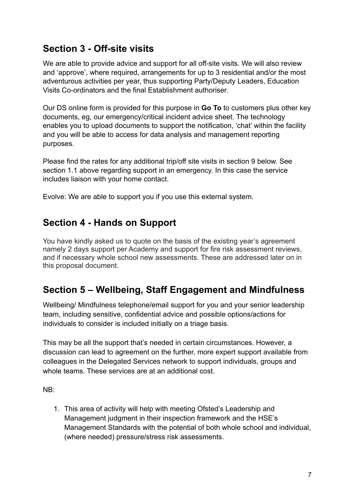# **Section 3 - Off-site visits**

We are able to provide advice and support for all off-site visits. We will also review and 'approve', where required, arrangements for up to 3 residential and/or the most adventurous activities per year, thus supporting Party/Deputy Leaders, Education Visits Co-ordinators and the final Establishment authoriser.

Our DS online form is provided for this purpose in **Go To** to customers plus other key documents, eg, our emergency/critical incident advice sheet. The technology enables you to upload documents to support the notification, 'chat' within the facility and you will be able to access for data analysis and management reporting purposes.

Please find the rates for any additional trip/off site visits in section 9 below. See section 1.1 above regarding support in an emergency. In this case the service includes liaison with your home contact.

Evolve: We are able to support you if you use this external system.

### **Section 4 - Hands on Support**

You have kindly asked us to quote on the basis of the existing year's agreement namely 2 days support per Academy and support for fire risk assessment reviews, and if necessary whole school new assessments. These are addressed later on in this proposal document.

# **Section 5 – Wellbeing, Staff Engagement and Mindfulness**

Wellbeing/ Mindfulness telephone/email support for you and your senior leadership team, including sensitive, confidential advice and possible options/actions for individuals to consider is included initially on a triage basis.

This may be all the support that's needed in certain circumstances. However, a discussion can lead to agreement on the further, more expert support available from colleagues in the Delegated Services network to support individuals, groups and whole teams. These services are at an additional cost.

NB:

1. This area of activity will help with meeting Ofsted's Leadership and Management judgment in their inspection framework and the HSE's Management Standards with the potential of both whole school and individual, (where needed) pressure/stress risk assessments.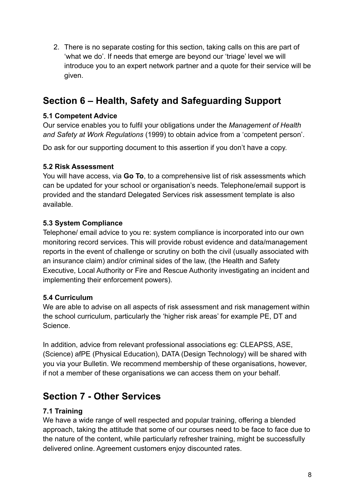2. There is no separate costing for this section, taking calls on this are part of 'what we do'. If needs that emerge are beyond our 'triage' level we will introduce you to an expert network partner and a quote for their service will be given.

# **Section 6 – Health, Safety and Safeguarding Support**

#### **5.1 Competent Advice**

Our service enables you to fulfil your obligations under the *Management of Health and Safety at Work Regulations* (1999) to obtain advice from a 'competent person'.

Do ask for our supporting document to this assertion if you don't have a copy.

#### **5.2 Risk Assessment**

You will have access, via **Go To**, to a comprehensive list of risk assessments which can be updated for your school or organisation's needs. Telephone/email support is provided and the standard Delegated Services risk assessment template is also available.

#### **5.3 System Compliance**

Telephone/ email advice to you re: system compliance is incorporated into our own monitoring record services. This will provide robust evidence and data/management reports in the event of challenge or scrutiny on both the civil (usually associated with an insurance claim) and/or criminal sides of the law, (the Health and Safety Executive, Local Authority or Fire and Rescue Authority investigating an incident and implementing their enforcement powers).

#### **5.4 Curriculum**

We are able to advise on all aspects of risk assessment and risk management within the school curriculum, particularly the 'higher risk areas' for example PE, DT and **Science** 

In addition, advice from relevant professional associations eg: CLEAPSS, ASE, (Science) afPE (Physical Education), DATA (Design Technology) will be shared with you via your Bulletin. We recommend membership of these organisations, however, if not a member of these organisations we can access them on your behalf.

# **Section 7 - Other Services**

#### **7.1 Training**

We have a wide range of well respected and popular training, offering a blended approach, taking the attitude that some of our courses need to be face to face due to the nature of the content, while particularly refresher training, might be successfully delivered online. Agreement customers enjoy discounted rates.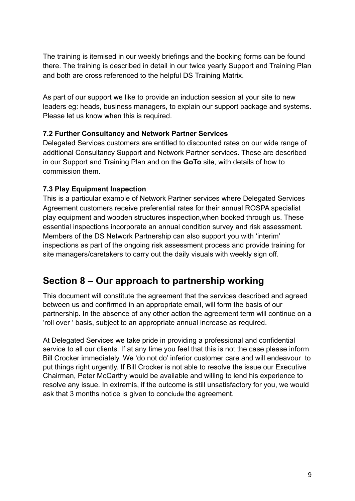The training is itemised in our weekly briefings and the booking forms can be found there. The training is described in detail in our twice yearly Support and Training Plan and both are cross referenced to the helpful DS Training Matrix.

As part of our support we like to provide an induction session at your site to new leaders eg: heads, business managers, to explain our support package and systems. Please let us know when this is required.

#### **7.2 Further Consultancy and Network Partner Services**

Delegated Services customers are entitled to discounted rates on our wide range of additional Consultancy Support and Network Partner services. These are described in our Support and Training Plan and on the **GoTo** site, with details of how to commission them.

#### **7.3 Play Equipment Inspection**

This is a particular example of Network Partner services where Delegated Services Agreement customers receive preferential rates for their annual ROSPA specialist play equipment and wooden structures inspection,when booked through us. These essential inspections incorporate an annual condition survey and risk assessment. Members of the DS Network Partnership can also support you with 'interim' inspections as part of the ongoing risk assessment process and provide training for site managers/caretakers to carry out the daily visuals with weekly sign off.

### **Section 8 – Our approach to partnership working**

This document will constitute the agreement that the services described and agreed between us and confirmed in an appropriate email, will form the basis of our partnership. In the absence of any other action the agreement term will continue on a 'roll over ' basis, subject to an appropriate annual increase as required.

At Delegated Services we take pride in providing a professional and confidential service to all our clients. If at any time you feel that this is not the case please inform Bill Crocker immediately. We 'do not do' inferior customer care and will endeavour to put things right urgently. If Bill Crocker is not able to resolve the issue our Executive Chairman, Peter McCarthy would be available and willing to lend his experience to resolve any issue. In extremis, if the outcome is still unsatisfactory for you, we would ask that 3 months notice is given to conclude the agreement.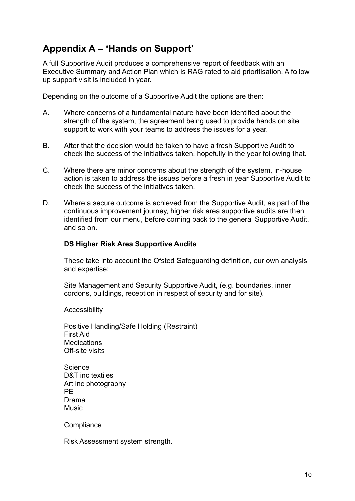# **Appendix A – 'Hands on Support'**

A full Supportive Audit produces a comprehensive report of feedback with an Executive Summary and Action Plan which is RAG rated to aid prioritisation. A follow up support visit is included in year.

Depending on the outcome of a Supportive Audit the options are then:

- A. Where concerns of a fundamental nature have been identified about the strength of the system, the agreement being used to provide hands on site support to work with your teams to address the issues for a year.
- B. After that the decision would be taken to have a fresh Supportive Audit to check the success of the initiatives taken, hopefully in the year following that.
- C. Where there are minor concerns about the strength of the system, in-house action is taken to address the issues before a fresh in year Supportive Audit to check the success of the initiatives taken.
- D. Where a secure outcome is achieved from the Supportive Audit, as part of the continuous improvement journey, higher risk area supportive audits are then identified from our menu, before coming back to the general Supportive Audit, and so on.

#### **DS Higher Risk Area Supportive Audits**

These take into account the Ofsted Safeguarding definition, our own analysis and expertise:

Site Management and Security Supportive Audit, (e.g. boundaries, inner cordons, buildings, reception in respect of security and for site).

**Accessibility** 

Positive Handling/Safe Holding (Restraint) First Aid **Medications** Off-site visits

**Science** D&T inc textiles Art inc photography PE Drama Music

**Compliance** 

Risk Assessment system strength.